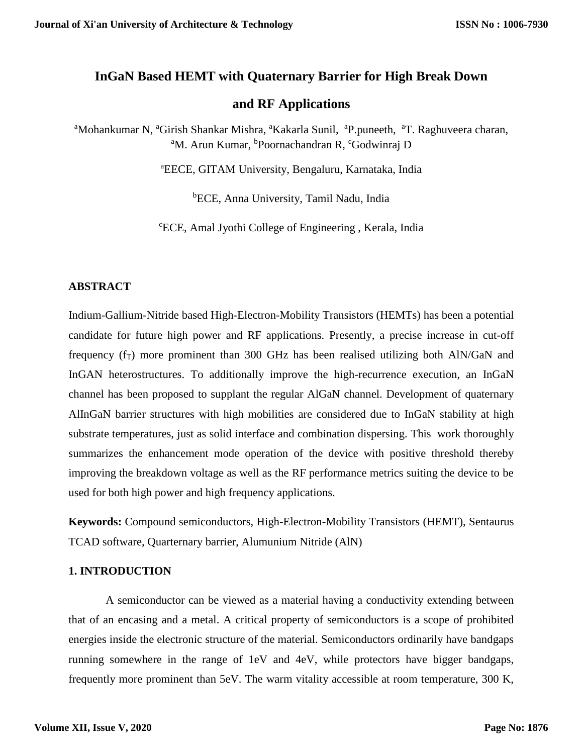# **InGaN Based HEMT with Quaternary Barrier for High Break Down**

# **and RF Applications**

<sup>a</sup>Mohankumar N, <sup>a</sup>Girish Shankar Mishra, <sup>a</sup>Kakarla Sunil, <sup>a</sup>P.puneeth, <sup>a</sup>T. Raghuveera charan, <sup>a</sup>M. Arun Kumar, <sup>b</sup>Poornachandran R, <sup>c</sup>Godwinraj D

<sup>a</sup>EECE, GITAM University, Bengaluru, Karnataka, India

<sup>b</sup>ECE, Anna University, Tamil Nadu, India

<sup>c</sup>ECE, Amal Jyothi College of Engineering , Kerala, India

### **ABSTRACT**

Indium-Gallium-Nitride based High-Electron-Mobility Transistors (HEMTs) has been a potential candidate for future high power and RF applications. Presently, a precise increase in cut-off frequency  $(f_T)$  more prominent than 300 GHz has been realised utilizing both AlN/GaN and InGAN heterostructures. To additionally improve the high-recurrence execution, an InGaN channel has been proposed to supplant the regular AlGaN channel. Development of quaternary AlInGaN barrier structures with high mobilities are considered due to InGaN stability at high substrate temperatures, just as solid interface and combination dispersing. This work thoroughly summarizes the enhancement mode operation of the device with positive threshold thereby improving the breakdown voltage as well as the RF performance metrics suiting the device to be used for both high power and high frequency applications.

**Keywords:** Compound semiconductors, High-Electron-Mobility Transistors (HEMT), Sentaurus TCAD software, Quarternary barrier, Alumunium Nitride (AlN)

### **1. INTRODUCTION**

A semiconductor can be viewed as a material having a conductivity extending between that of an encasing and a metal. A critical property of semiconductors is a scope of prohibited energies inside the electronic structure of the material. Semiconductors ordinarily have bandgaps running somewhere in the range of 1eV and 4eV, while protectors have bigger bandgaps, frequently more prominent than 5eV. The warm vitality accessible at room temperature, 300 K,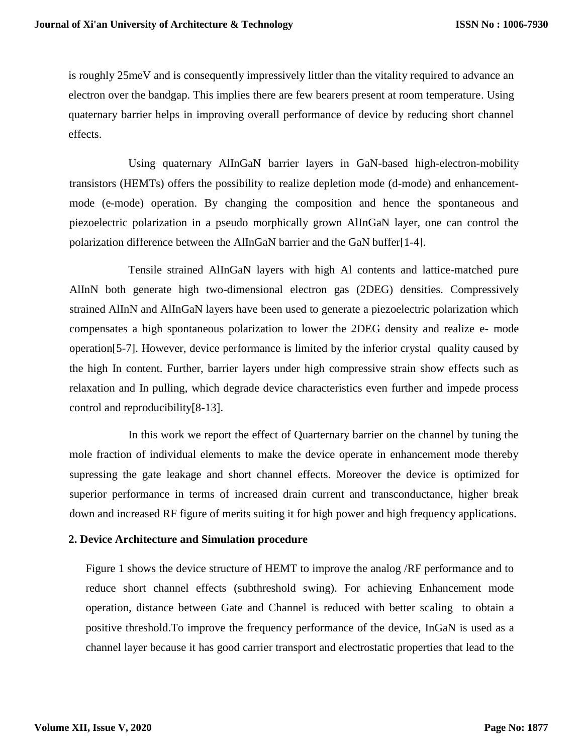is roughly 25meV and is consequently impressively littler than the vitality required to advance an electron over the bandgap. This implies there are few bearers present at room temperature. Using quaternary barrier helps in improving overall performance of device by reducing short channel effects.

Using quaternary AlInGaN barrier layers in GaN-based high-electron-mobility transistors (HEMTs) offers the possibility to realize depletion mode (d-mode) and enhancementmode (e-mode) operation. By changing the composition and hence the spontaneous and piezoelectric polarization in a pseudo morphically grown AlInGaN layer, one can control the polarization difference between the AlInGaN barrier and the GaN buffer[1-4].

Tensile strained AlInGaN layers with high Al contents and lattice-matched pure AlInN both generate high two-dimensional electron gas (2DEG) densities. Compressively strained AlInN and AlInGaN layers have been used to generate a piezoelectric polarization which compensates a high spontaneous polarization to lower the 2DEG density and realize e- mode operation[5-7]. However, device performance is limited by the inferior crystal quality caused by the high In content. Further, barrier layers under high compressive strain show effects such as relaxation and In pulling, which degrade device characteristics even further and impede process control and reproducibility[8-13].

In this work we report the effect of Quarternary barrier on the channel by tuning the mole fraction of individual elements to make the device operate in enhancement mode thereby supressing the gate leakage and short channel effects. Moreover the device is optimized for superior performance in terms of increased drain current and transconductance, higher break down and increased RF figure of merits suiting it for high power and high frequency applications.

### **2. Device Architecture and Simulation procedure**

Figure 1 shows the device structure of HEMT to improve the analog /RF performance and to reduce short channel effects (subthreshold swing). For achieving Enhancement mode operation, distance between Gate and Channel is reduced with better scaling to obtain a positive threshold.To improve the frequency performance of the device, InGaN is used as a channel layer because it has good carrier transport and electrostatic properties that lead to the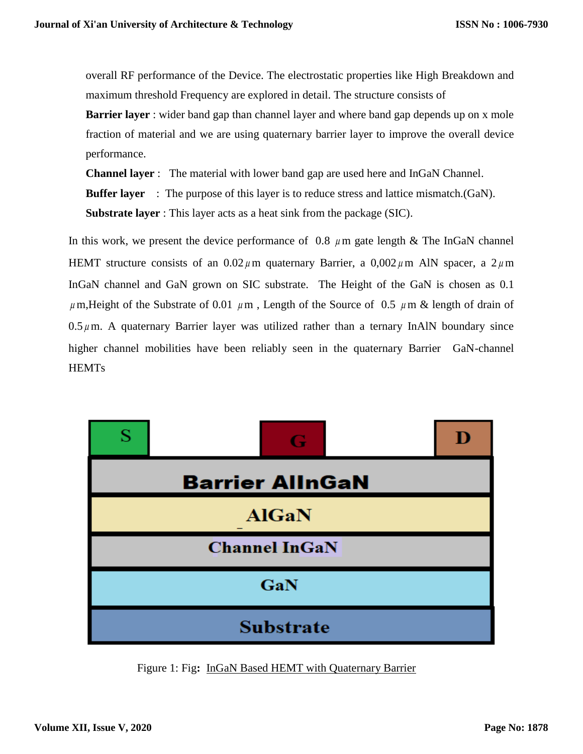overall RF performance of the Device. The electrostatic properties like High Breakdown and maximum threshold Frequency are explored in detail. The structure consists of

**Barrier layer** : wider band gap than channel layer and where band gap depends up on x mole fraction of material and we are using quaternary barrier layer to improve the overall device performance.

**Channel layer** : The material with lower band gap are used here and InGaN Channel.

**Buffer layer** : The purpose of this layer is to reduce stress and lattice mismatch.(GaN).

**Substrate layer** : This layer acts as a heat sink from the package (SIC).

In this work, we present the device performance of  $0.8 \mu$ m gate length & The InGaN channel HEMT structure consists of an  $0.02 \mu$ m quaternary Barrier, a  $0.002 \mu$ m AlN spacer, a  $2 \mu$ m InGaN channel and GaN grown on SIC substrate. The Height of the GaN is chosen as 0.1  $\mu$  m, Height of the Substrate of 0.01  $\mu$ m, Length of the Source of 0.5  $\mu$ m & length of drain of  $0.5 \mu$ m. A quaternary Barrier layer was utilized rather than a ternary InAlN boundary since higher channel mobilities have been reliably seen in the quaternary Barrier GaN-channel **HEMTs** 



Figure 1: Fig**:** InGaN Based HEMT with Quaternary Barrier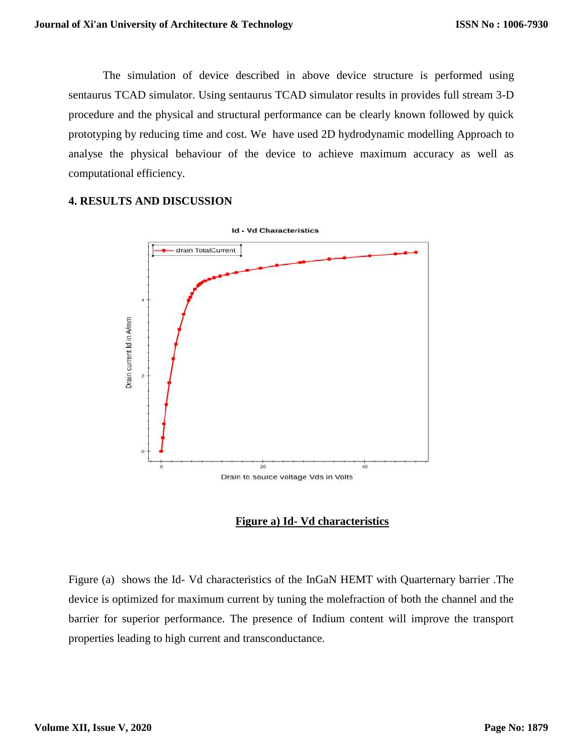The simulation of device described in above device structure is performed using sentaurus TCAD simulator. Using sentaurus TCAD simulator results in provides full stream 3-D procedure and the physical and structural performance can be clearly known followed by quick prototyping by reducing time and cost. We have used 2D hydrodynamic modelling Approach to analyse the physical behaviour of the device to achieve maximum accuracy as well as computational efficiency.

### **4. RESULTS AND DISCUSSION**



**Figure a) Id- Vd characteristics**

Figure (a) shows the Id- Vd characteristics of the InGaN HEMT with Quarternary barrier .The device is optimized for maximum current by tuning the molefraction of both the channel and the barrier for superior performance. The presence of Indium content will improve the transport properties leading to high current and transconductance.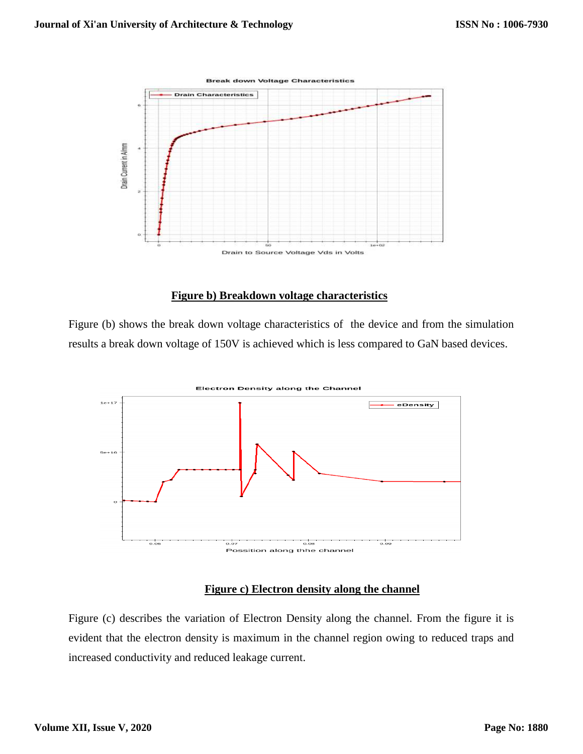

### **Figure b) Breakdown voltage characteristics**

Figure (b) shows the break down voltage characteristics of the device and from the simulation results a break down voltage of 150V is achieved which is less compared to GaN based devices.



### **Figure c) Electron density along the channel**

Figure (c) describes the variation of Electron Density along the channel. From the figure it is evident that the electron density is maximum in the channel region owing to reduced traps and increased conductivity and reduced leakage current.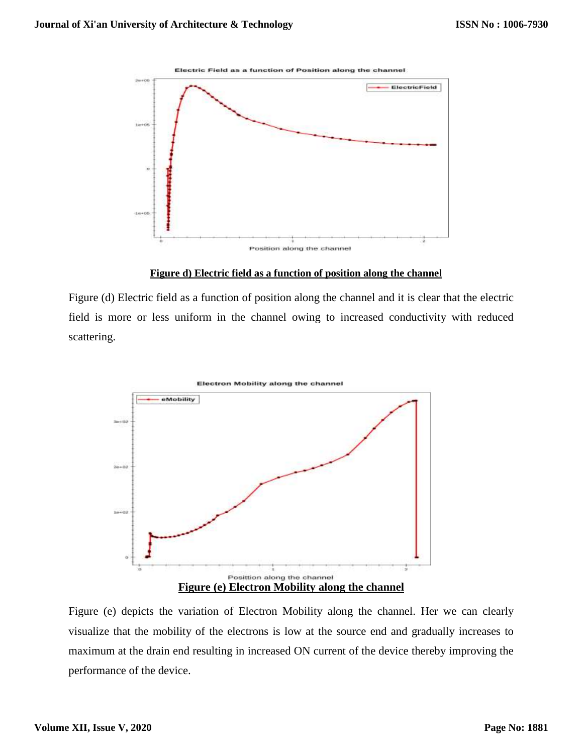



**Figure d) Electric field as a function of position along the channe**l

Figure (d) Electric field as a function of position along the channel and it is clear that the electric field is more or less uniform in the channel owing to increased conductivity with reduced scattering.



Figure (e) depicts the variation of Electron Mobility along the channel. Her we can clearly visualize that the mobility of the electrons is low at the source end and gradually increases to maximum at the drain end resulting in increased ON current of the device thereby improving the performance of the device.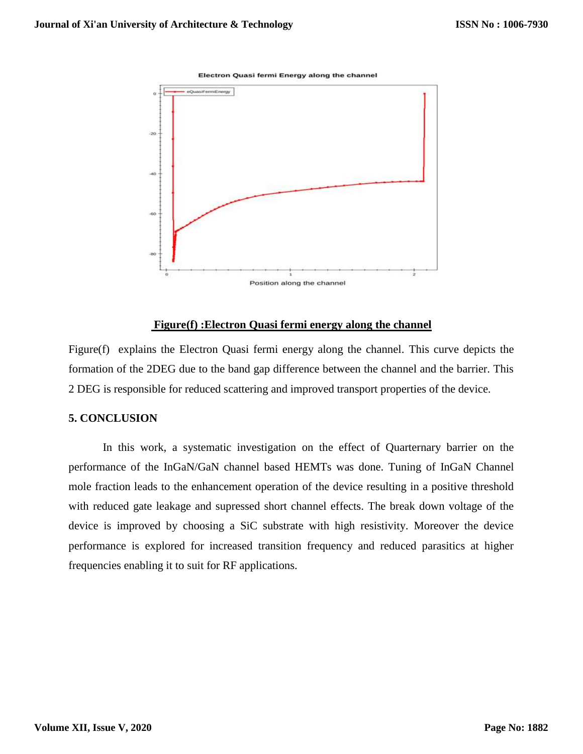



#### **Figure(f) :Electron Quasi fermi energy along the channel**

Figure(f) explains the Electron Quasi fermi energy along the channel. This curve depicts the formation of the 2DEG due to the band gap difference between the channel and the barrier. This 2 DEG is responsible for reduced scattering and improved transport properties of the device.

#### **5. CONCLUSION**

In this work, a systematic investigation on the effect of Quarternary barrier on the performance of the InGaN/GaN channel based HEMTs was done. Tuning of InGaN Channel mole fraction leads to the enhancement operation of the device resulting in a positive threshold with reduced gate leakage and supressed short channel effects. The break down voltage of the device is improved by choosing a SiC substrate with high resistivity. Moreover the device performance is explored for increased transition frequency and reduced parasitics at higher frequencies enabling it to suit for RF applications.